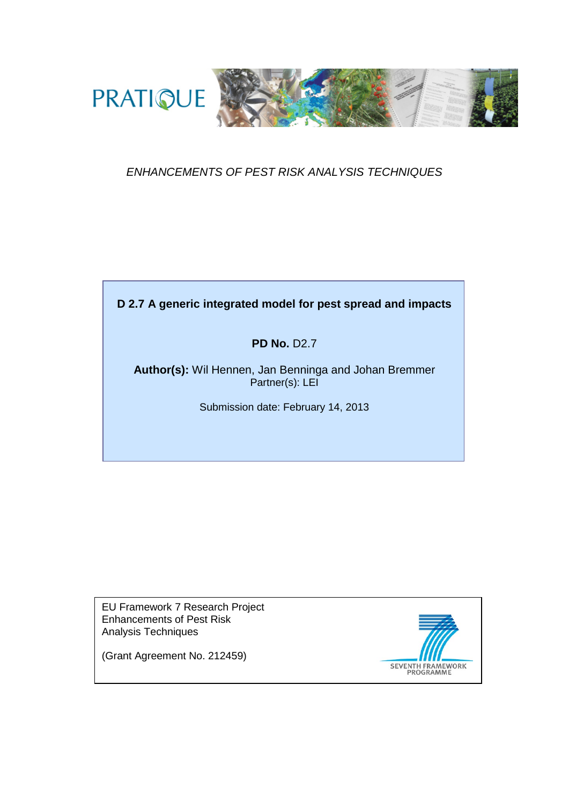

# *ENHANCEMENTS OF PEST RISK ANALYSIS TECHNIQUES*

# **D 2.7 A generic integrated model for pest spread and impacts**

# **PD No.** D2.7

**Author(s):** Wil Hennen, Jan Benninga and Johan Bremmer Partner(s): LEI

Submission date: February 14, 2013

EU Framework 7 Research Project Enhancements of Pest Risk Analysis Techniques

(Grant Agreement No. 212459)

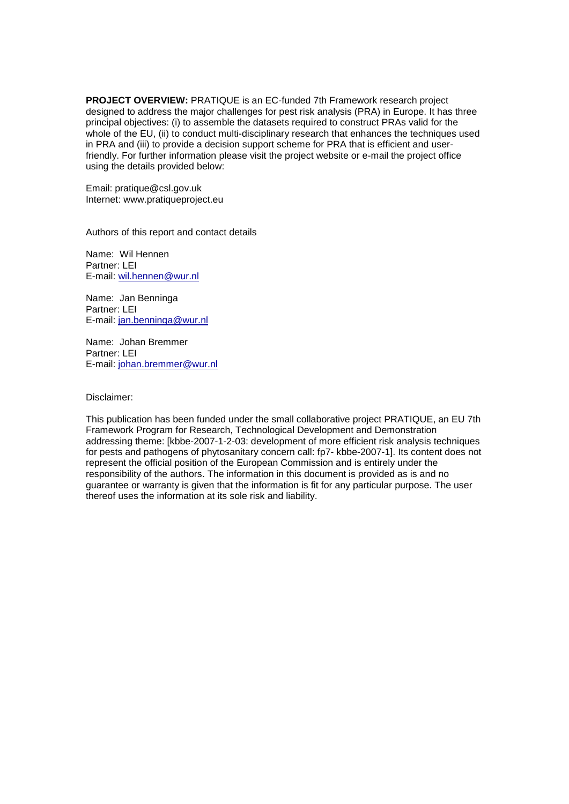**PROJECT OVERVIEW:** PRATIQUE is an EC-funded 7th Framework research project designed to address the major challenges for pest risk analysis (PRA) in Europe. It has three principal objectives: (i) to assemble the datasets required to construct PRAs valid for the whole of the EU, (ii) to conduct multi-disciplinary research that enhances the techniques used in PRA and (iii) to provide a decision support scheme for PRA that is efficient and userfriendly. For further information please visit the project website or e-mail the project office using the details provided below:

Email: pratique@csl.gov.uk Internet: www.pratiqueproject.eu

Authors of this report and contact details

Name: Wil Hennen Partner: LEI E-mail: [wil.hennen@wur.nl](mailto:wil.hennen@wur.nl)

Name: Jan Benninga Partner: LEI E-mail: [jan.benninga@wur.nl](mailto:jan.benninga@wur.nl)

Name: Johan Bremmer Partner: LEI E-mail: [johan.bremmer@wur.nl](mailto:johan.bremmer@wur.nl)

Disclaimer:

This publication has been funded under the small collaborative project PRATIQUE, an EU 7th Framework Program for Research, Technological Development and Demonstration addressing theme: [kbbe-2007-1-2-03: development of more efficient risk analysis techniques for pests and pathogens of phytosanitary concern call: fp7- kbbe-2007-1]. Its content does not represent the official position of the European Commission and is entirely under the responsibility of the authors. The information in this document is provided as is and no guarantee or warranty is given that the information is fit for any particular purpose. The user thereof uses the information at its sole risk and liability.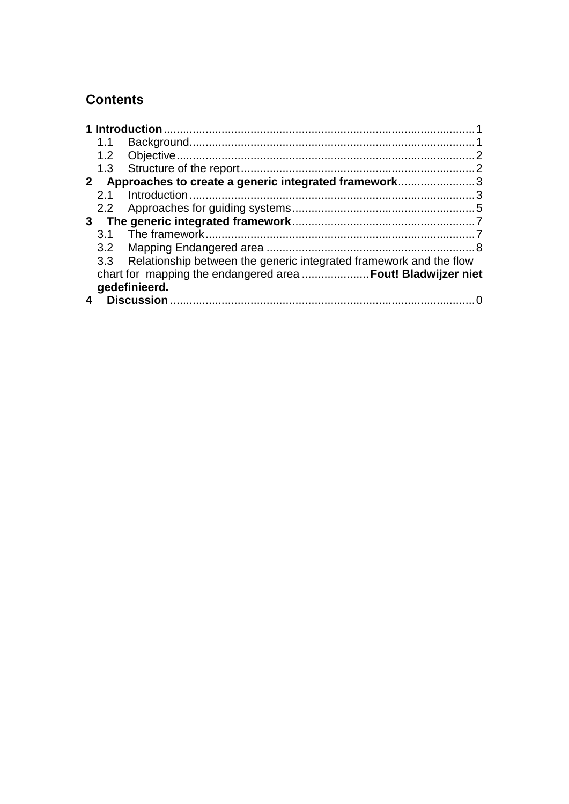# **Contents**

|  | 1.1           |                                                                        |  |  |
|--|---------------|------------------------------------------------------------------------|--|--|
|  |               |                                                                        |  |  |
|  |               |                                                                        |  |  |
|  |               | 2 Approaches to create a generic integrated framework3                 |  |  |
|  |               |                                                                        |  |  |
|  |               |                                                                        |  |  |
|  |               |                                                                        |  |  |
|  |               |                                                                        |  |  |
|  |               |                                                                        |  |  |
|  |               | 3.3 Relationship between the generic integrated framework and the flow |  |  |
|  |               | chart for mapping the endangered area  Fout! Bladwijzer niet           |  |  |
|  | gedefinieerd. |                                                                        |  |  |
|  |               |                                                                        |  |  |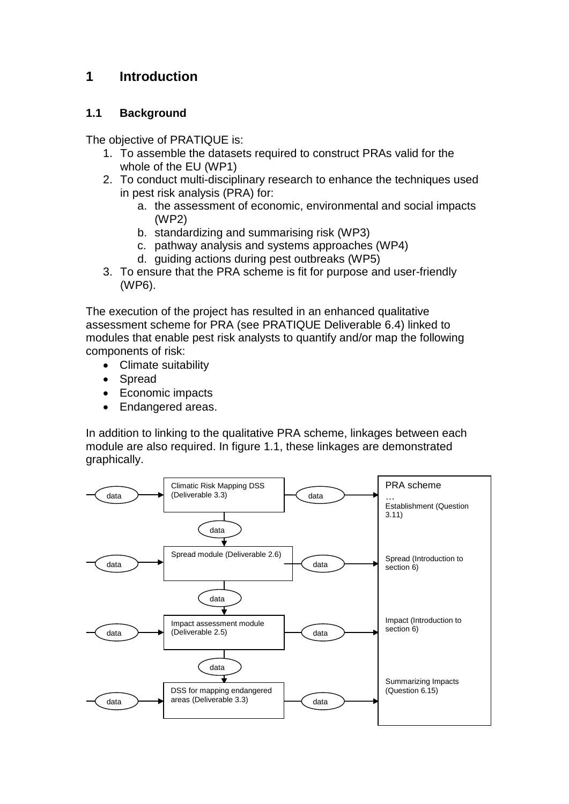# <span id="page-3-0"></span>**1 Introduction**

## <span id="page-3-1"></span>**1.1 Background**

The objective of PRATIQUE is:

- 1. To assemble the datasets required to construct PRAs valid for the whole of the EU (WP1)
- 2. To conduct multi-disciplinary research to enhance the techniques used in pest risk analysis (PRA) for:
	- a. the assessment of economic, environmental and social impacts (WP2)
	- b. standardizing and summarising risk (WP3)
	- c. pathway analysis and systems approaches (WP4)
	- d. guiding actions during pest outbreaks (WP5)
- 3. To ensure that the PRA scheme is fit for purpose and user-friendly (WP6).

The execution of the project has resulted in an enhanced qualitative assessment scheme for PRA (see PRATIQUE Deliverable 6.4) linked to modules that enable pest risk analysts to quantify and/or map the following components of risk:

- Climate suitability
- Spread
- Economic impacts
- Endangered areas.

In addition to linking to the qualitative PRA scheme, linkages between each module are also required. In figure 1.1, these linkages are demonstrated graphically.

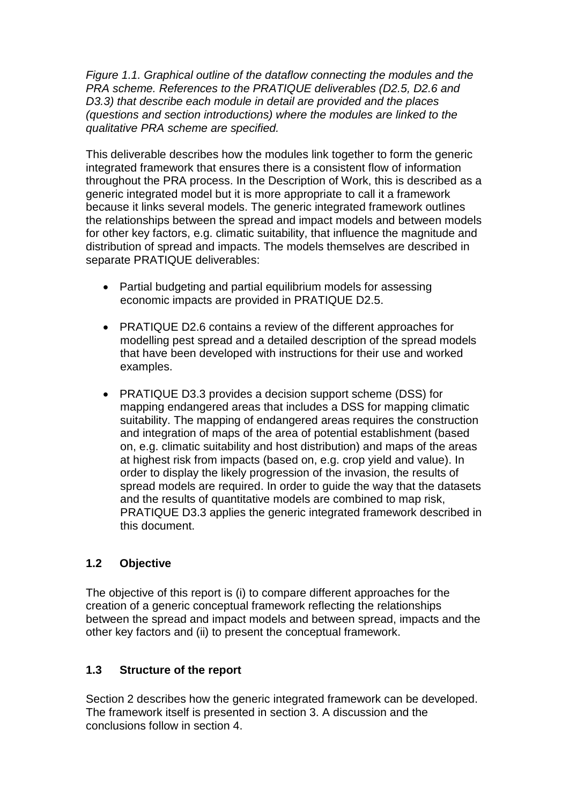*Figure 1.1. Graphical outline of the dataflow connecting the modules and the PRA scheme. References to the PRATIQUE deliverables (D2.5, D2.6 and D3.3) that describe each module in detail are provided and the places (questions and section introductions) where the modules are linked to the qualitative PRA scheme are specified.*

This deliverable describes how the modules link together to form the generic integrated framework that ensures there is a consistent flow of information throughout the PRA process. In the Description of Work, this is described as a generic integrated model but it is more appropriate to call it a framework because it links several models. The generic integrated framework outlines the relationships between the spread and impact models and between models for other key factors, e.g. climatic suitability, that influence the magnitude and distribution of spread and impacts. The models themselves are described in separate PRATIQUE deliverables:

- Partial budgeting and partial equilibrium models for assessing economic impacts are provided in PRATIQUE D2.5.
- PRATIQUE D2.6 contains a review of the different approaches for modelling pest spread and a detailed description of the spread models that have been developed with instructions for their use and worked examples.
- PRATIQUE D3.3 provides a decision support scheme (DSS) for mapping endangered areas that includes a DSS for mapping climatic suitability. The mapping of endangered areas requires the construction and integration of maps of the area of potential establishment (based on, e.g. climatic suitability and host distribution) and maps of the areas at highest risk from impacts (based on, e.g. crop yield and value). In order to display the likely progression of the invasion, the results of spread models are required. In order to guide the way that the datasets and the results of quantitative models are combined to map risk, PRATIQUE D3.3 applies the generic integrated framework described in this document.

# <span id="page-4-0"></span>**1.2 Objective**

The objective of this report is (i) to compare different approaches for the creation of a generic conceptual framework reflecting the relationships between the spread and impact models and between spread, impacts and the other key factors and (ii) to present the conceptual framework.

# <span id="page-4-1"></span>**1.3 Structure of the report**

Section 2 describes how the generic integrated framework can be developed. The framework itself is presented in section 3. A discussion and the conclusions follow in section 4.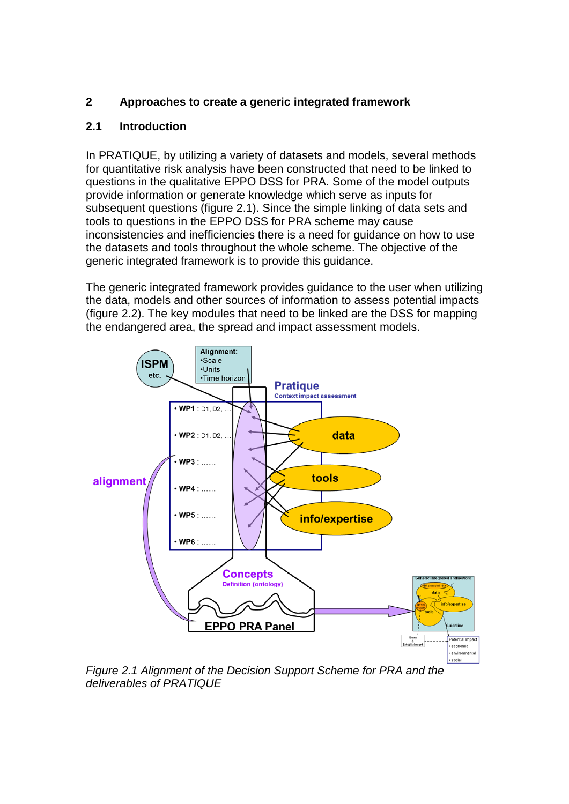# <span id="page-5-0"></span>**2 Approaches to create a generic integrated framework**

# <span id="page-5-1"></span>**2.1 Introduction**

In PRATIQUE, by utilizing a variety of datasets and models, several methods for quantitative risk analysis have been constructed that need to be linked to questions in the qualitative EPPO DSS for PRA. Some of the model outputs provide information or generate knowledge which serve as inputs for subsequent questions (figure 2.1). Since the simple linking of data sets and tools to questions in the EPPO DSS for PRA scheme may cause inconsistencies and inefficiencies there is a need for guidance on how to use the datasets and tools throughout the whole scheme. The objective of the generic integrated framework is to provide this guidance.

The generic integrated framework provides guidance to the user when utilizing the data, models and other sources of information to assess potential impacts (figure 2.2). The key modules that need to be linked are the DSS for mapping the endangered area, the spread and impact assessment models.



*Figure 2.1 Alignment of the Decision Support Scheme for PRA and the deliverables of PRATIQUE*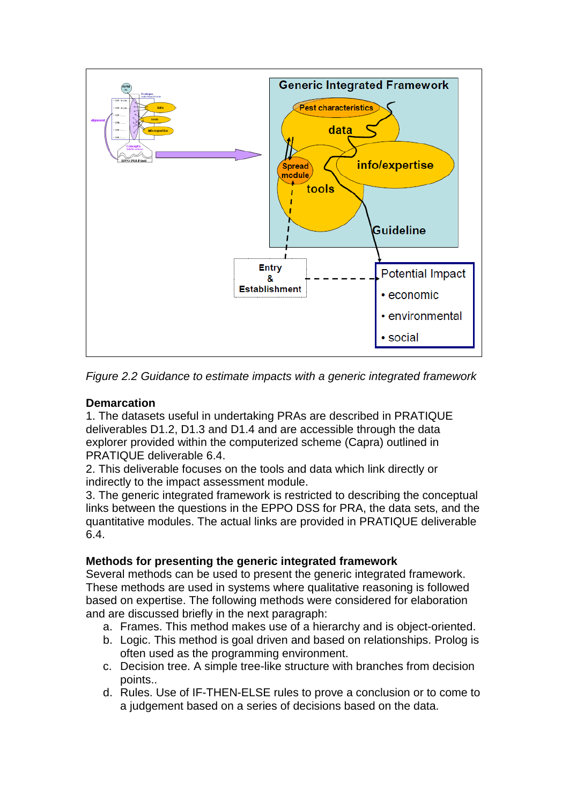

*Figure 2.2 Guidance to estimate impacts with a generic integrated framework*

#### **Demarcation**

1. The datasets useful in undertaking PRAs are described in PRATIQUE deliverables D1.2, D1.3 and D1.4 and are accessible through the data explorer provided within the computerized scheme (Capra) outlined in PRATIQUE deliverable 6.4.

2. This deliverable focuses on the tools and data which link directly or indirectly to the impact assessment module.

3. The generic integrated framework is restricted to describing the conceptual links between the questions in the EPPO DSS for PRA, the data sets, and the quantitative modules. The actual links are provided in PRATIQUE deliverable 6.4.

#### **Methods for presenting the generic integrated framework**

Several methods can be used to present the generic integrated framework. These methods are used in systems where qualitative reasoning is followed based on expertise. The following methods were considered for elaboration and are discussed briefly in the next paragraph:

- a. Frames. This method makes use of a hierarchy and is object-oriented.
- b. Logic. This method is goal driven and based on relationships. Prolog is often used as the programming environment.
- c. Decision tree. A simple tree-like structure with branches from decision points..
- d. Rules. Use of IF-THEN-ELSE rules to prove a conclusion or to come to a judgement based on a series of decisions based on the data.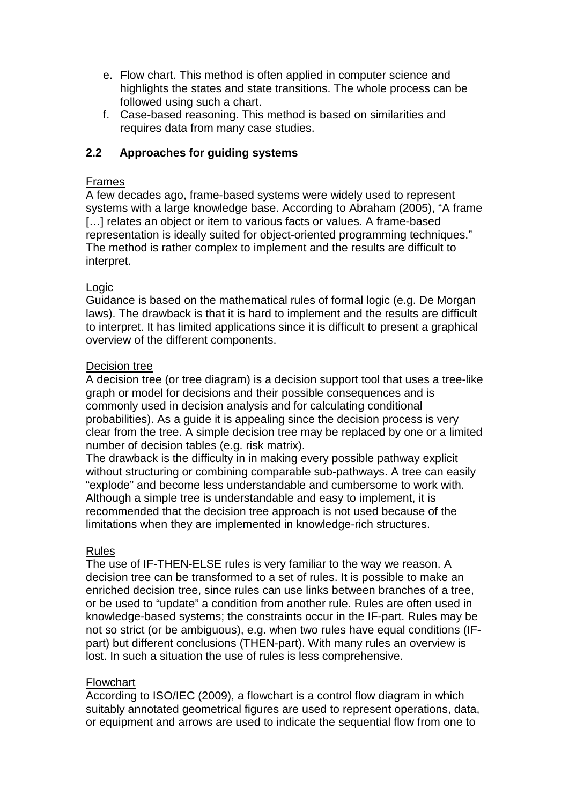- e. Flow chart. This method is often applied in computer science and highlights the states and state transitions. The whole process can be followed using such a chart.
- f. Case-based reasoning. This method is based on similarities and requires data from many case studies.

# <span id="page-7-0"></span>**2.2 Approaches for guiding systems**

## Frames

A few decades ago, frame-based systems were widely used to represent systems with a large knowledge base. According to Abraham (2005), "A frame [...] relates an object or item to various facts or values. A frame-based representation is ideally suited for object-oriented programming techniques." The method is rather complex to implement and the results are difficult to interpret.

### **Logic**

Guidance is based on the mathematical rules of formal logic (e.g. De Morgan laws). The drawback is that it is hard to implement and the results are difficult to interpret. It has limited applications since it is difficult to present a graphical overview of the different components.

#### Decision tree

A decision tree (or tree diagram) is a decision support tool that uses a tree-like graph or model for decisions and their possible consequences and is commonly used in decision analysis and for calculating conditional probabilities). As a guide it is appealing since the decision process is very clear from the tree. A simple decision tree may be replaced by one or a limited number of decision tables (e.g. risk matrix).

The drawback is the difficulty in in making every possible pathway explicit without structuring or combining comparable sub-pathways. A tree can easily "explode" and become less understandable and cumbersome to work with. Although a simple tree is understandable and easy to implement, it is recommended that the decision tree approach is not used because of the limitations when they are implemented in knowledge-rich structures.

#### Rules

The use of IF-THEN-ELSE rules is very familiar to the way we reason. A decision tree can be transformed to a set of rules. It is possible to make an enriched decision tree, since rules can use links between branches of a tree, or be used to "update" a condition from another rule. Rules are often used in knowledge-based systems; the constraints occur in the IF-part. Rules may be not so strict (or be ambiguous), e.g. when two rules have equal conditions (IFpart) but different conclusions (THEN-part). With many rules an overview is lost. In such a situation the use of rules is less comprehensive.

# Flowchart

According to ISO/IEC (2009), a flowchart is a control flow diagram in which suitably annotated geometrical figures are used to represent operations, data, or equipment and arrows are used to indicate the sequential flow from one to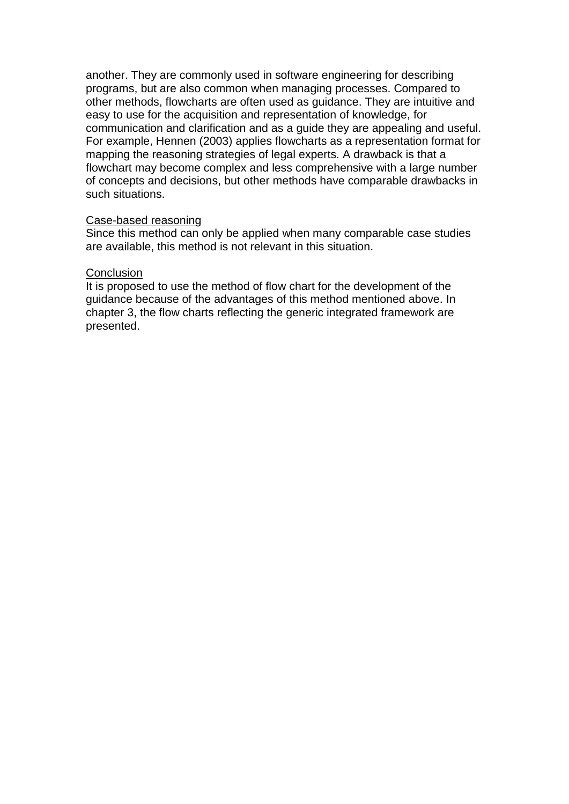another. They are commonly used in software engineering for describing programs, but are also common when managing processes. Compared to other methods, flowcharts are often used as guidance. They are intuitive and easy to use for the acquisition and representation of knowledge, for communication and clarification and as a guide they are appealing and useful. For example, Hennen (2003) applies flowcharts as a representation format for mapping the reasoning strategies of legal experts. A drawback is that a flowchart may become complex and less comprehensive with a large number of concepts and decisions, but other methods have comparable drawbacks in such situations.

#### Case-based reasoning

Since this method can only be applied when many comparable case studies are available, this method is not relevant in this situation.

#### **Conclusion**

It is proposed to use the method of flow chart for the development of the guidance because of the advantages of this method mentioned above. In chapter 3, the flow charts reflecting the generic integrated framework are presented.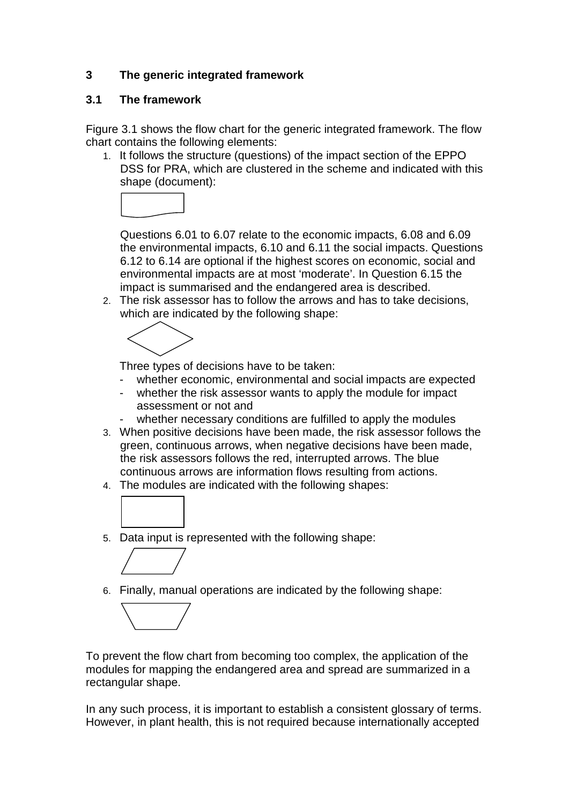# <span id="page-9-0"></span>**3 The generic integrated framework**

## <span id="page-9-1"></span>**3.1 The framework**

Figure 3.1 shows the flow chart for the generic integrated framework. The flow chart contains the following elements:

1. It follows the structure (questions) of the impact section of the EPPO DSS for PRA, which are clustered in the scheme and indicated with this shape (document):



Questions 6.01 to 6.07 relate to the economic impacts, 6.08 and 6.09 the environmental impacts, 6.10 and 6.11 the social impacts. Questions 6.12 to 6.14 are optional if the highest scores on economic, social and environmental impacts are at most 'moderate'. In Question 6.15 the impact is summarised and the endangered area is described.

2. The risk assessor has to follow the arrows and has to take decisions, which are indicated by the following shape:



Three types of decisions have to be taken:

- whether economic, environmental and social impacts are expected<br>- whether the risk assessor wants to apply the module for impact
- whether the risk assessor wants to apply the module for impact assessment or not and
- whether necessary conditions are fulfilled to apply the modules
- 3. When positive decisions have been made, the risk assessor follows the green, continuous arrows, when negative decisions have been made, the risk assessors follows the red, interrupted arrows. The blue continuous arrows are information flows resulting from actions.
- 4. The modules are indicated with the following shapes:



5. Data input is represented with the following shape:



6. Finally, manual operations are indicated by the following shape:



To prevent the flow chart from becoming too complex, the application of the modules for mapping the endangered area and spread are summarized in a rectangular shape.

In any such process, it is important to establish a consistent glossary of terms. However, in plant health, this is not required because internationally accepted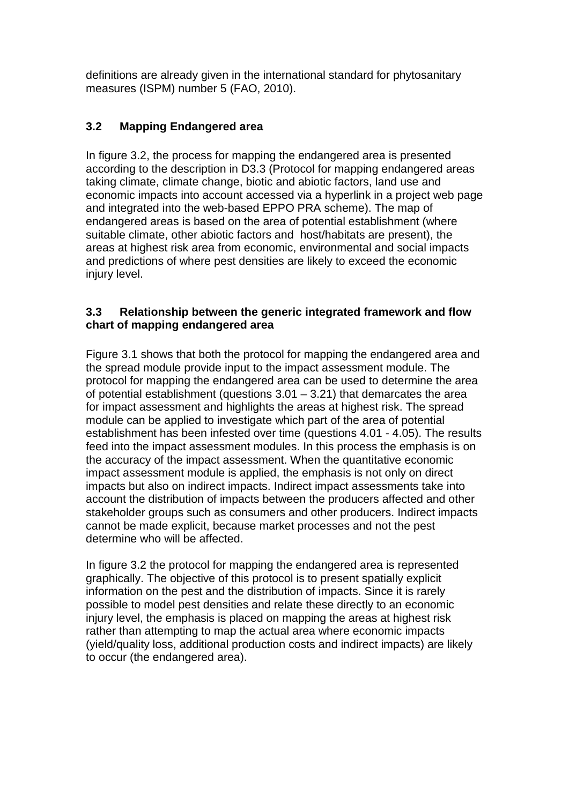definitions are already given in the international standard for phytosanitary measures (ISPM) number 5 (FAO, 2010).

# <span id="page-10-0"></span>**3.2 Mapping Endangered area**

In figure 3.2, the process for mapping the endangered area is presented according to the description in D3.3 (Protocol for mapping endangered areas taking climate, climate change, biotic and abiotic factors, land use and economic impacts into account accessed via a hyperlink in a project web page and integrated into the web-based EPPO PRA scheme). The map of endangered areas is based on the area of potential establishment (where suitable climate, other abiotic factors and host/habitats are present), the areas at highest risk area from economic, environmental and social impacts and predictions of where pest densities are likely to exceed the economic injury level.

# **3.3 Relationship between the generic integrated framework and flow chart of mapping endangered area**

Figure 3.1 shows that both the protocol for mapping the endangered area and the spread module provide input to the impact assessment module. The protocol for mapping the endangered area can be used to determine the area of potential establishment (questions  $3.01 - 3.21$ ) that demarcates the area for impact assessment and highlights the areas at highest risk. The spread module can be applied to investigate which part of the area of potential establishment has been infested over time (questions 4.01 - 4.05). The results feed into the impact assessment modules. In this process the emphasis is on the accuracy of the impact assessment. When the quantitative economic impact assessment module is applied, the emphasis is not only on direct impacts but also on indirect impacts. Indirect impact assessments take into account the distribution of impacts between the producers affected and other stakeholder groups such as consumers and other producers. Indirect impacts cannot be made explicit, because market processes and not the pest determine who will be affected.

In figure 3.2 the protocol for mapping the endangered area is represented graphically. The objective of this protocol is to present spatially explicit information on the pest and the distribution of impacts. Since it is rarely possible to model pest densities and relate these directly to an economic injury level, the emphasis is placed on mapping the areas at highest risk rather than attempting to map the actual area where economic impacts (yield/quality loss, additional production costs and indirect impacts) are likely to occur (the endangered area).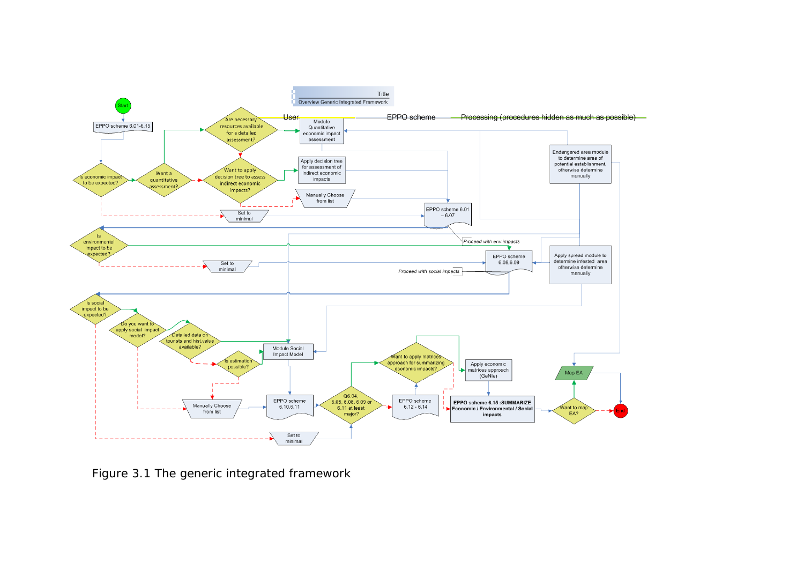

Figure 3.1 The generic integrated framework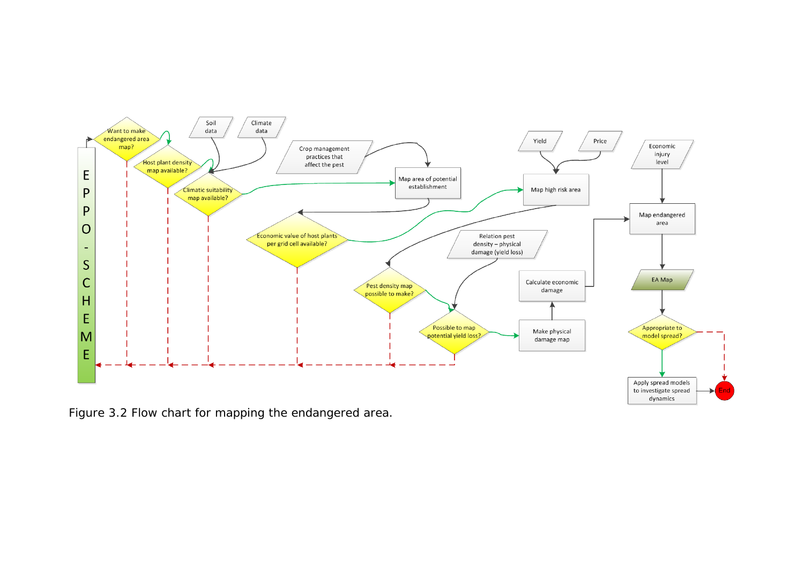

Figure 3.2 Flow chart for mapping the endangered area.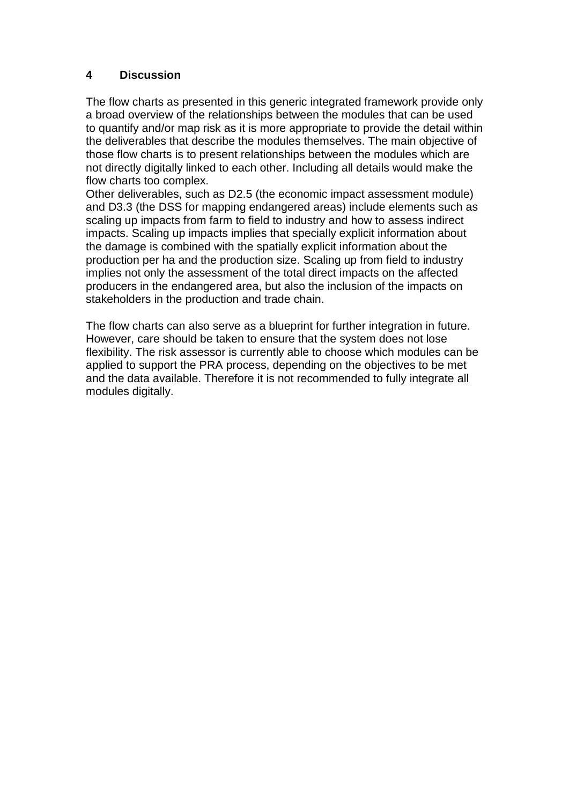### <span id="page-13-0"></span>**4 Discussion**

The flow charts as presented in this generic integrated framework provide only a broad overview of the relationships between the modules that can be used to quantify and/or map risk as it is more appropriate to provide the detail within the deliverables that describe the modules themselves. The main objective of those flow charts is to present relationships between the modules which are not directly digitally linked to each other. Including all details would make the flow charts too complex.

Other deliverables, such as D2.5 (the economic impact assessment module) and D3.3 (the DSS for mapping endangered areas) include elements such as scaling up impacts from farm to field to industry and how to assess indirect impacts. Scaling up impacts implies that specially explicit information about the damage is combined with the spatially explicit information about the production per ha and the production size. Scaling up from field to industry implies not only the assessment of the total direct impacts on the affected producers in the endangered area, but also the inclusion of the impacts on stakeholders in the production and trade chain.

The flow charts can also serve as a blueprint for further integration in future. However, care should be taken to ensure that the system does not lose flexibility. The risk assessor is currently able to choose which modules can be applied to support the PRA process, depending on the objectives to be met and the data available. Therefore it is not recommended to fully integrate all modules digitally.